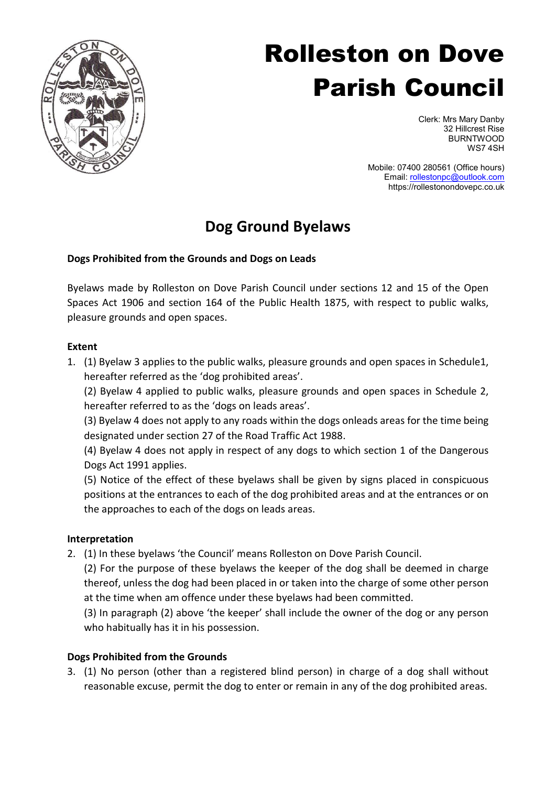

# Rolleston on Dove Parish Council

Clerk: Mrs Mary Danby 32 Hillcrest Rise BURNTWOOD WS7 4SH

 Mobile: 07400 280561 (Office hours) Email: rollestonpc@outlook.com https://rollestonondovepc.co.uk

## Dog Ground Byelaws

### Dogs Prohibited from the Grounds and Dogs on Leads

Byelaws made by Rolleston on Dove Parish Council under sections 12 and 15 of the Open Spaces Act 1906 and section 164 of the Public Health 1875, with respect to public walks, pleasure grounds and open spaces.

#### Extent

1. (1) Byelaw 3 applies to the public walks, pleasure grounds and open spaces in Schedule1, hereafter referred as the 'dog prohibited areas'.

(2) Byelaw 4 applied to public walks, pleasure grounds and open spaces in Schedule 2, hereafter referred to as the 'dogs on leads areas'.

(3) Byelaw 4 does not apply to any roads within the dogs onleads areas for the time being designated under section 27 of the Road Traffic Act 1988.

(4) Byelaw 4 does not apply in respect of any dogs to which section 1 of the Dangerous Dogs Act 1991 applies.

(5) Notice of the effect of these byelaws shall be given by signs placed in conspicuous positions at the entrances to each of the dog prohibited areas and at the entrances or on the approaches to each of the dogs on leads areas.

#### Interpretation

2. (1) In these byelaws 'the Council' means Rolleston on Dove Parish Council.

(2) For the purpose of these byelaws the keeper of the dog shall be deemed in charge thereof, unless the dog had been placed in or taken into the charge of some other person at the time when am offence under these byelaws had been committed.

(3) In paragraph (2) above 'the keeper' shall include the owner of the dog or any person who habitually has it in his possession.

#### Dogs Prohibited from the Grounds

3. (1) No person (other than a registered blind person) in charge of a dog shall without reasonable excuse, permit the dog to enter or remain in any of the dog prohibited areas.